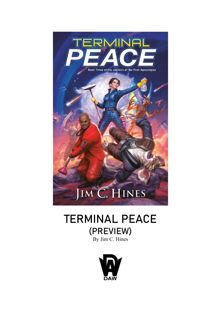

# **TERMINAL PEACE (PREVIEW)** By Jim C. Hines

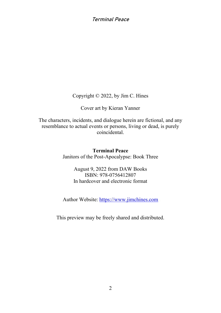Copyright © 2022, by Jim C. Hines

Cover art by Kieran Yanner

The characters, incidents, and dialogue herein are fictional, and any resemblance to actual events or persons, living or dead, is purely coincidental.

> **Terminal Peace** Janitors of the Post-Apocalypse: Book Three

> > August 9, 2022 from DAW Books ISBN: 978-0756412807 In hardcover and electronic format

Author Website: [https://www.jimchines.com](https://www.jimchines.com/)

This preview may be freely shared and distributed.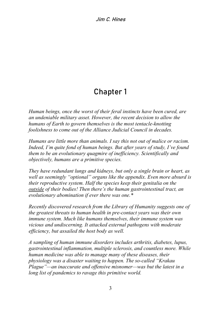**Jim C. Hines**

# **Chapter 1**

*Human beings, once the worst of their feral instincts have been cured, are an undeniable military asset. However, the recent decision to allow the humans of Earth to govern themselves is the most tentacle-knotting foolishness to come out of the Alliance Judicial Council in decades.*

*Humans are little more than animals. I say this not out of malice or racism. Indeed, I'm quite fond of human beings. But after years of study, I've found them to be an evolutionary quagmire of inefficiency. Scientifically and objectively, humans are a primitive species.*

*They have redundant lungs and kidneys, but only a single brain or heart, as well as seemingly "optional" organs like the appendix. Even more absurd is their reproductive system. Half the species keep their genitalia on the outside of their bodies! Then there's the human gastrointestinal tract, an evolutionary abomination if ever there was one.\**

*Recently discovered research from the Library of Humanity suggests one of the greatest threats to human health in pre-contact years was their own immune system. Much like humans themselves, their immune system was vicious and undiscerning. It attacked external pathogens with moderate efficiency, but assailed the host body as well.*

*A sampling of human immune disorders includes arthritis, diabetes, lupus, gastrointestinal inflammation, multiple sclerosis, and countless more. While human medicine was able to manage many of these diseases, their physiology was a disaster waiting to happen. The so-called "Krakau Plague"—an inaccurate and offensive misnomer—was but the latest in a long list of pandemics to ravage this primitive world.*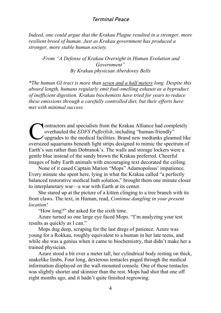*Indeed, one could argue that the Krakau Plague resulted in a stronger, more resilient breed of human. Just as Krakau government has produced a stronger, more stable human society.*

### *-From "A Defense of Krakau Oversight in Human Evolution and Government" By Krakau physician Aberdovey Bells*

*\*The human GI tract is more than seven and a half meters long. Despite this absurd length, humans regularly emit foul-smelling exhaust as a byproduct of inefficient digestion. Krakau biochemists have tried for years to reduce these emissions through a carefully controlled diet, but their efforts have met with minimal success.*

ontractors and specialists from the Krakau Alliance had completely overhauled the *EDFS Pufferfish*, including "human-friendly"  $\ell$  upgrades to the medical facilities. Brand new medtanks gleamed like ontractors and specialists from the Krakau Alliance had completely<br>overhauled the *EDFS Pufferfish*, including "human-friendly"<br>upgrades to the medical facilities. Brand new medtanks gleamed like<br>oversized aquariums beneat Earth's sun rather than Dobranok's. The walls and storage lockers were a gentle blue instead of the sandy brown the Krakau preferred. Cheerful images of baby Earth animals with encouraging text decorated the ceiling.

None of it eased Captain Marion "Mops" Adamopolous' impatience. Every minute she spent here, lying in what the Krakau called "a perfectly balanced restorative medical bath solution," brought them one minute closer to interplanetary war—a war with Earth at its center.

She stared up at the picture of a kitten clinging to a tree branch with its front claws. The text, in Human, read, *Continue dangling in your present location!*

"How long?" she asked for the sixth time.

Azure turned so one large eye faced Mops. "I'm analyzing your test results as quickly as I can."

Mops dug deep, scraping for the last dregs of patience. Azure was young for a Rokkau, roughly equivalent to a human in her late teens, and while she was a genius when it came to biochemistry, that didn't make her a trained physician.

Azure stood a bit over a meter tall, her cylindrical body resting on thick, snakelike limbs. Four long, dexterous tentacles paged through the medical information displayed on the wall-mounted console. One of those tentacles was slightly shorter and skinnier than the rest. Mops had shot that one off eight months ago, and it hadn't quite finished regrowing.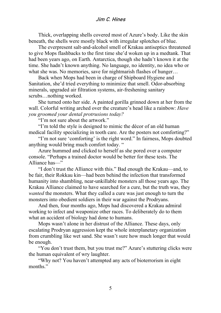#### **Jim C. Hines**

Thick, overlapping shells covered most of Azure's body. Like the skin beneath, the shells were mostly black with irregular splotches of blue.

The everpresent salt-and-alcohol smell of Krakau antiseptics threatened to give Mops flashbacks to the first time she'd woken up in a medtank. That had been years ago, on Earth. Antarctica, though she hadn't known it at the time. She hadn't known anything. No language, no identity, no idea who or what she was. No memories, save for nightmarish flashes of hunger…

Back when Mops had been in charge of Shipboard Hygiene and Sanitation, she'd tried everything to minimize that smell. Odor-absorbing minerals, upgraded air filtration systems, air-freshening sanitary scrubs…nothing worked.

She turned onto her side. A painted gorilla grinned down at her from the wall. Colorful writing arched over the creature's head like a rainbow: *Have you groomed your dental protrusions today?*

"I'm not sure about the artwork."

"I'm told the style is designed to mimic the décor of an old human medical facility specializing in tooth care. Are the posters not comforting?"

"I'm not sure 'comforting' is the right word." In fairness, Mops doubted anything would bring much comfort today. "

Azure hummed and clicked to herself as she pored over a computer console. "Perhaps a trained doctor would be better for these tests. The Alliance has—"

"I don't trust the Alliance with this." Bad enough the Krakau—and, to be fair, their Rokkau kin—had been behind the infection that transformed humanity into shambling, near-unkillable monsters all those years ago. The Krakau Alliance claimed to have searched for a cure, but the truth was, they *wanted* the monsters. What they called a cure was just enough to turn the monsters into obedient soldiers in their war against the Prodryans.

And then, four months ago, Mops had discovered a Krakau admiral working to infect and weaponize other races. To deliberately do to them what an accident of biology had done to humans.

Mops wasn't alone in her distrust of the Alliance. These days, only escalating Prodryan aggression kept the whole interplanetary organization from crumbling like wet sand. She wasn't sure how much longer that would be enough.

"You don't trust them, but you trust me?" Azure's stuttering clicks were the human equivalent of wry laughter.

"Why not? You haven't attempted any acts of bioterrorism in eight months."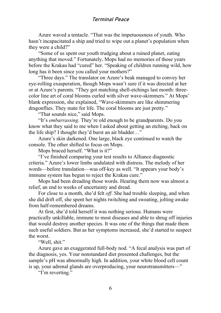Azure waved a tentacle. "That was the impetuousness of youth. Who hasn't incapacitated a ship and tried to wipe out a planet's population when they were a child?"

"Some of us spent our youth trudging about a ruined planet, eating anything that moved." Fortunately, Mops had no memories of those years before the Krakau had "cured" her. "Speaking of children running wild, how long has it been since you called your mothers?"

"Three days." The translator on Azure's beak managed to convey her eye-rolling exasperation, though Mops wasn't sure if it was directed at her or at Azure's parents. "They got matching shell-etchings last month: threecolor line art of coral blooms curled with silver wave-skimmers." At Mops' blank expression, she explained, "Wave-skimmers are like shimmering dragonflies. They mate for life. The coral blooms are just pretty."

"That sounds nice," said Mops.

"It's *embarrassing*. They're old enough to be grandparents. Do you know what they said to me when I asked about getting an etching, back on the life ship? I thought they'd burst an air bladder…"

Azure's skin darkened. One large, black eye continued to watch the console. The other shifted to focus on Mops.

Mops braced herself. "What is it?"

"I've finished comparing your test results to Alliance diagnostic criteria." Azure's lower limbs undulated with distress. The melody of her words—before translation—was off-key as well. "It appears your body's immune system has begun to reject the Krakau cure."

Mops had been dreading those words. Hearing them now was almost a relief, an end to weeks of uncertainty and dread.

For close to a month, she'd felt *off*. She had trouble sleeping, and when she did drift off, she spent her nights twitching and sweating, jolting awake from half-remembered dreams.

At first, she'd told herself it was nothing serious. Humans were practically unkillable, immune to most diseases and able to shrug off injuries that would destroy another species. It was one of the things that made them such useful soldiers. But as her symptoms increased, she'd started to suspect the worst.

"Well, shit."

Azure gave an exaggerated full-body nod. "A fecal analysis was part of the diagnosis, yes. Your nonstandard diet presented challenges, but the sample's pH was abnormally high. In addition, your white blood cell count is up, your adrenal glands are overproducing, your neurotransmitters—"

"I'm reverting."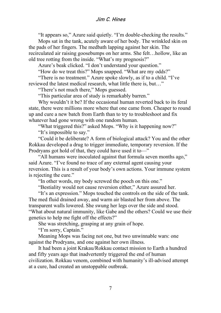"It appears so," Azure said quietly. "I'm double-checking the results."

Mops sat in the tank, acutely aware of her body. The wrinkled skin on the pads of her fingers. The medbath lapping against her skin. The recirculated air raising goosebumps on her arms. She felt…hollow, like an old tree rotting from the inside. "What's my prognosis?"

Azure's beak clicked. "I don't understand your question."

"How do we treat this?" Mops snapped. "What are my odds?"

"There is no treatment." Azure spoke slowly, as if to a child. "I've reviewed the latest medical research, what little there is, but…"

"There's not much there," Mops guessed.

"This particular area of study is remarkably barren."

Why wouldn't it be? If the occasional human reverted back to its feral state, there were millions more where that one came from. Cheaper to round up and cure a new batch from Earth than to try to troubleshoot and fix whatever had gone wrong with one random human.

"What triggered this?" asked Mops. "Why is it happening now?"

"It's impossible to say."

"Could it be deliberate? A form of biological attack? You and the other Rokkau developed a drug to trigger immediate, temporary reversion. If the Prodryans got hold of that, they could have used it to—"

"All humans were inoculated against that formula seven months ago," said Azure. "I've found no trace of any external agent causing your reversion. This is a result of your body's own actions. Your immune system is rejecting the cure."

"In other words, my body screwed the pooch on this one."

"Bestiality would not cause reversion either," Azure assured her.

"It's an expression." Mops touched the controls on the side of the tank. The med fluid drained away, and warm air blasted her from above. The transparent walls lowered. She swung her legs over the side and stood. "What about natural immunity, like Gabe and the others? Could we use their genetics to help me fight off the effects?"

She was stretching, grasping at any grain of hope.

"I'm sorry, Captain."

Meaning Mops was facing not one, but two unwinnable wars: one against the Prodryans, and one against her own illness.

It had been a joint Krakau/Rokkau contact mission to Earth a hundred and fifty years ago that inadvertently triggered the end of human civilization. Rokkau venom, combined with humanity's ill-advised attempt at a cure, had created an unstoppable outbreak.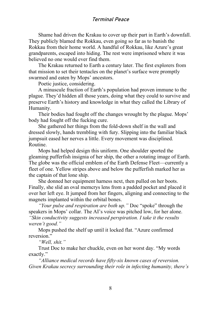Shame had driven the Krakau to cover up their part in Earth's downfall. They publicly blamed the Rokkau, even going so far as to banish the Rokkau from their home world. A handful of Rokkau, like Azure's great grandparents, escaped into hiding. The rest were imprisoned where it was believed no one would ever find them.

The Krakau returned to Earth a century later. The first explorers from that mission to set their tentacles on the planet's surface were promptly swarmed and eaten by Mops' ancestors.

Poetic justice, considering.

A minuscule fraction of Earth's population had proven immune to the plague. They'd hidden all those years, doing what they could to survive and preserve Earth's history and knowledge in what they called the Library of Humanity.

Their bodies had fought off the changes wrought by the plague. Mops' body had fought off the fucking cure.

She gathered her things from the fold-down shelf in the wall and dressed slowly, hands trembling with fury. Slipping into the familiar black jumpsuit eased her nerves a little. Every movement was disciplined. Routine.

Mops had helped design this uniform. One shoulder sported the gleaming pufferfish insignia of her ship, the other a rotating image of Earth. The globe was the official emblem of the Earth Defense Fleet—currently a fleet of one. Yellow stripes above and below the pufferfish marked her as the captain of that lone ship.

She donned her equipment harness next, then pulled on her boots. Finally, she slid an oval memcrys lens from a padded pocket and placed it over her left eye. It jumped from her fingers, aligning and connecting to the magnets implanted within the orbital bones.

*"Your pulse and respiration are both up."* Doc "spoke" through the speakers in Mops' collar. The AI's voice was pitched low, for her alone. *"Skin conductivity suggests increased perspiration. I take it the results weren't good."*

Mops pushed the shelf up until it locked flat. "Azure confirmed reversion."

*"Well, shit."*

Trust Doc to make her chuckle, even on her worst day. "My words exactly."

*"Alliance medical records have fifty-six known cases of reversion. Given Krakau secrecy surrounding their role in infecting humanity, there's*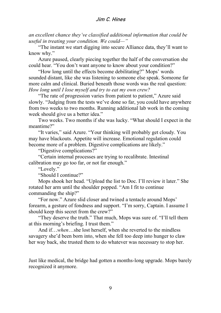*an excellent chance they've classified additional information that could be useful in treating your condition. We could—"*

"The instant we start digging into secure Alliance data, they'll want to know why."

Azure paused, clearly piecing together the half of the conversation she could hear. "You don't want anyone to know about your condition?"

"How long until the effects become debilitating?" Mops' words sounded distant, like she was listening to someone else speak. Someone far more calm and clinical. Buried beneath those words was the real question: *How long until I lose myself and try to eat my own crew?*

"The rate of progression varies from patient to patient," Azure said slowly. "Judging from the tests we've done so far, you could have anywhere from two weeks to two months. Running additional lab work in the coming week should give us a better idea."

Two weeks. Two months if she was lucky. "What should I expect in the meantime?"

"It varies," said Azure. "Your thinking will probably get cloudy. You may have blackouts. Appetite will increase. Emotional regulation could become more of a problem. Digestive complications are likely."

"Digestive complications?"

"Certain internal processes are trying to recalibrate. Intestinal calibration may go too far, or not far enough."

"Lovely."

"Should I continue?"

Mops shook her head. "Upload the list to Doc. I'll review it later." She rotated her arm until the shoulder popped. "Am I fit to continue commanding the ship?"

"For now." Azure slid closer and twined a tentacle around Mops' forearm, a gesture of fondness and support. "I'm sorry, Captain. I assume I should keep this secret from the crew?"

"They deserve the truth." That much, Mops was sure of. "I'll tell them at this morning's briefing. I trust them."

And if…*when*…she lost herself, when she reverted to the mindless savagery she'd been born into, when she fell too deep into hunger to claw her way back, she trusted them to do whatever was necessary to stop her.

Just like medical, the bridge had gotten a months-long upgrade. Mops barely recognized it anymore.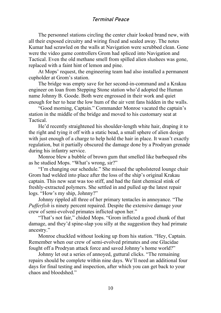The personnel stations circling the center chair looked brand new, with all their exposed circuitry and wiring fixed and sealed away. The notes Kumar had scrawled on the walls at Navigation were scrubbed clean. Gone were the video game controllers Grom had spliced into Navigation and Tactical. Even the old methane smell from spilled alien slushees was gone, replaced with a faint hint of lemon and pine.

At Mops' request, the engineering team had also installed a permanent cupholder at Grom's station.

The bridge was empty save for her second-in-command and a Krakau engineer on loan from Stepping Stone station who'd adopted the Human name Johnny B. Goode. Both were engrossed in their work and quiet enough for her to hear the low hum of the air vent fans hidden in the walls.

"Good morning, Captain." Commander Monroe vacated the captain's station in the middle of the bridge and moved to his customary seat at Tactical.

He'd recently straightened his shoulder-length white hair, draping it to the right and tying it off with a static bead, a small sphere of alien design with just enough of a charge to help hold the hair in place. It wasn't exactly regulation, but it partially obscured the damage done by a Prodryan grenade during his infantry service.

Monroe blew a bubble of brown gum that smelled like barbequed ribs as he studied Mops. "What's wrong, sir?"

"I'm changing our schedule." She missed the upholstered lounge chair Grom had welded into place after the loss of the ship's original Krakau captain. This new seat was too stiff, and had the faint chemical stink of freshly-extracted polymers. She settled in and pulled up the latest repair logs. "How's my ship, Johnny?"

Johnny rippled all three of her primary tentacles in annoyance. "The *Pufferfish* is ninety percent repaired. Despite the extensive damage your crew of semi-evolved primates inflicted upon her."

"That's not fair," chided Mops. "Grom inflicted a good chunk of that damage, and they'd spine-slap you silly at the suggestion they had primate ancestry."

Monroe chuckled without looking up from his station. "Hey, Captain. Remember when our crew of semi-evolved primates and one Glacidae fought off a Prodryan attack force and saved Johnny's home world?"

Johnny let out a series of annoyed, guttural clicks. "The remaining repairs should be complete within nine days. We'll need an additional four days for final testing and inspection, after which you can get back to your chaos and bloodshed."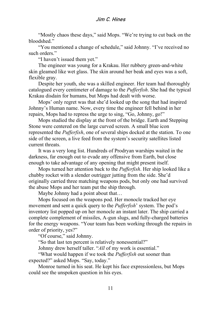"Mostly chaos these days," said Mops. "We're trying to cut back on the bloodshed."

"You mentioned a change of schedule," said Johnny. "I've received no such orders."

"I haven't issued them yet."

The engineer was young for a Krakau. Her rubbery green-and-white skin gleamed like wet glass. The skin around her beak and eyes was a soft, flexible gray.

Despite her youth, she was a skilled engineer. Her team had thoroughly catalogued every centimeter of damage to the *Pufferfish*. She had the typical Krakau disdain for humans, but Mops had dealt with worse.

Mops' only regret was that she'd looked up the song that had inspired Johnny's Human name. Now, every time the engineer fell behind in her repairs, Mops had to repress the urge to sing, "Go, Johnny, go!"

Mops studied the display at the front of the bridge. Earth and Stepping Stone were centered on the large curved screen. A small blue icon represented the *Pufferfish*, one of several ships docked at the station. To one side of the screen, a live feed from the system's security satellites listed current threats.

It was a very long list. Hundreds of Prodryan warships waited in the darkness, far enough out to evade any offensive from Earth, but close enough to take advantage of any opening that might present itself.

Mops turned her attention back to the *Pufferfish*. Her ship looked like a chubby rocket with a slender outrigger jutting from the side. She'd originally carried three matching weapons pods, but only one had survived the abuse Mops and her team put the ship through.

Maybe Johnny had a point about that…

Mops focused on the weapons pod. Her monocle tracked her eye movement and sent a quick query to the *Pufferfish*' system. The pod's inventory list popped up on her monocle an instant later. The ship carried a complete complement of missiles, A-gun slugs, and fully-charged batteries for the energy weapons. "Your team has been working through the repairs in order of priority, yes?"

"Of course," said Johnny.

"So that last ten percent is relatively nonessential?"

Johnny drew herself taller. "*All* of my work is essential."

"What would happen if we took the *Pufferfish* out sooner than expected?" asked Mops. "Say, today."

Monroe turned in his seat. He kept his face expressionless, but Mops could see the unspoken question in his eyes.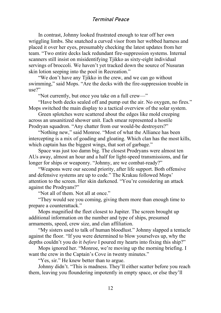In contrast, Johnny looked frustrated enough to tear off her own wriggling limbs. She snatched a curved visor from her webbed harness and placed it over her eyes, presumably checking the latest updates from her team. "Two entire decks lack redundant fire-suppression systems. Internal scanners still insist on misidentifying Tjikko as sixty-eight individual servings of broccoli. We haven't yet tracked down the source of Nusuran skin lotion seeping into the pool in Recreation."

"We don't have any Tjikko in the crew, and we can go without swimming," said Mops. "Are the decks with the fire-suppression trouble in use?"

"Not currently, but once you take on a full crew—"

"Have both decks sealed off and pump out the air. No oxygen, no fires." Mops switched the main display to a tactical overview of the solar system.

Green splotches were scattered about the edges like mold creeping across an unsanitized shower unit. Each smear represented a hostile Prodryan squadron. "Any chatter from our would-be destroyers?"

"Nothing new," said Monroe. "Most of what the Alliance has been intercepting is a mix of goading and gloating. Which clan has the most kills, which captain has the biggest wings, that sort of garbage."

Space was just too damn big. The closest Prodryans were almost ten AUs away, almost an hour and a half for light-speed transmissions, and far longer for ships or weaponry. "Johnny, are we combat-ready?"

"Weapons were our second priority, after life support. Both offensive and defensive systems are up to code." The Krakau followed Mops' attention to the screen. Her skin darkened. "You're considering an attack against the Prodryans?"

"Not all of them. Not all at once."

"They would see you coming, giving them more than enough time to prepare a counterattack."

Mops magnified the fleet closest to Jupiter. The screen brought up additional information on the number and type of ships, presumed armaments, speed, crew size, and clan affiliation.

"My sisters used to talk of human bloodlust." Johnny slapped a tentacle against the floor. "If you were determined to blow yourselves up, why the depths couldn't you do it *before* I poured my hearts into fixing this ship?"

Mops ignored her. "Monroe, we're moving up the morning briefing. I want the crew in the Captain's Cove in twenty minutes."

"Yes, sir." He knew better than to argue.

Johnny didn't. "This is madness. They'll either scatter before you reach them, leaving you floundering impotently in empty space, or else they'll